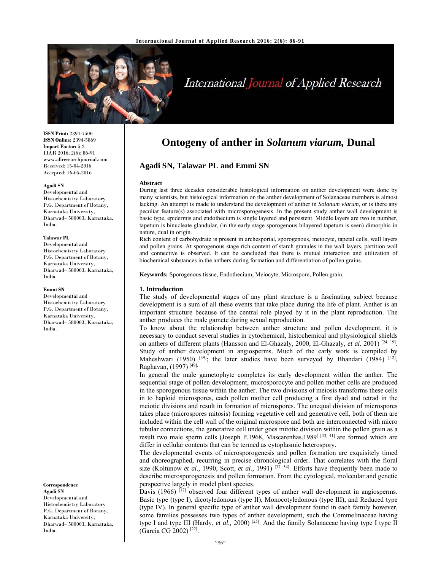

# International Journal of Applied Research

**ISSN Print:** 2394-7500 **ISSN Online:** 2394-5869 **Impact Factor:** 5.2 IJAR 2016; 2(6): 86-91 www.allresearchjournal.com Received: 15-04-2016 Accepted: 16-05-2016

#### **Agadi SN**

Developmental and Histochemistry Laboratory P.G. Department of Botany, Karnataka University, Dharwad– 580003, Karnataka, India.

#### **Talawar PL**

Developmental and Histochemistry Laboratory P.G. Department of Botany, Karnataka University, Dharwad– 580003, Karnataka, India.

#### **Emmi SN**

Developmental and Histochemistry Laboratory P.G. Department of Botany, Karnataka University, Dharwad– 580003, Karnataka, India.

**Correspondence Agadi SN**  Developmental and Histochemistry Laboratory P.G. Department of Botany, Karnataka University, Dharwad– 580003, Karnataka, India.

# **Ontogeny of anther in** *Solanum viarum,* **Dunal**

# **Agadi SN, Talawar PL and Emmi SN**

#### **Abstract**

During last three decades considerable histological information on anther development were done by many scientists, but histological information on the anther development of Solanaceae members is almost lacking. An attempt is made to understand the development of anther in *Solanum viarum*, or is there any peculiar feature(s) associated with microsporogenesis. In the present study anther wall development is basic type, epidermis and endothecium is single layered and persistent. Middle layers are two in number, tapetum is binucleate glandular, (in the early stage sporogenous bilayered tapetum is seen) dimorphic in nature, dual in origin.

Rich content of carbohydrate is present in archesporial, sporogenous, meiocyte, tapetal cells, wall layers and pollen grains. At sporogenous stage rich content of starch granules in the wall layers, partition wall and connective is observed. It can be concluded that there is mutual interaction and utilization of biochemical substances in the anthers during formation and differentiation of pollen grains.

**Keywords:** Sporogenous tissue, Endothecium, Meiocyte, Microspore, Pollen grain.

#### **1. Introduction**

The study of developmental stages of any plant structure is a fascinating subject because development is a sum of all these events that take place during the life of plant. Anther is an important structure because of the central role played by it in the plant reproduction. The anther produces the male gamete during sexual reproduction.

To know about the relationship between anther structure and pollen development, it is necessary to conduct several studies in cytochemical, histochemical and physiological shields on anthers of different plants (Hansson and El-Ghazaly, 2000, El-Ghazaly, et al. 2001)<sup>[24, 19]</sup>. Study of anther development in angiosperms. Much of the early work is compiled by Maheshwari (1950) <sup>[39]</sup>; the later studies have been surveyed by Bhandari (1984) <sup>[12]</sup>, Raghavan, (1997) [49].

In general the male gametophyte completes its early development within the anther. The sequential stage of pollen development, microsporocyte and pollen mother cells are produced in the sporogenous tissue within the anther. The two divisions of meiosis transforms these cells in to haploid microspores, each pollen mother cell producing a first dyad and tetrad in the meiotic divisions and result in formation of microspores. The unequal division of microspores takes place (microspores mitosis) forming vegetative cell and generative cell, both of them are included within the cell wall of the original microspore and both are interconnected with micro tubular connections, the generative cell under goes mitotic division within the pollen grain as a result two male sperm cells (Joseph P.1968, Mascarenhas.1989)<sup>[33, 41]</sup> are formed which are differ in cellular contents that can be termed as cytoplasmic heterospory.

The developmental events of microsporogenesis and pollen formation are exquisitely timed and choreographed, recurring in precise chronological order. That correlates with the floral size (Koltunow *et al.,* 1990, Scott, *et al.,* 1991)<sup>[37, 54]</sup>. Efforts have frequently been made to describe microsporogenesis and pollen formation. From the cytological, molecular and genetic perspective largely in model plant species.

Davis (1966) <sup>[17]</sup> observed four different types of anther wall development in angiosperms. Basic type (type I), dicotyledonous (type II), Monocotyledonous (type III), and Reduced type (type IV). In general specific type of anther wall development found in each family however, some families possesses two types of anther development, such the Commelinaceae having type I and type III (Hardy, *et al.*, 2000)<sup>[25]</sup>. And the family Solanaceae having type I type II (Garcia CG 2002) [22].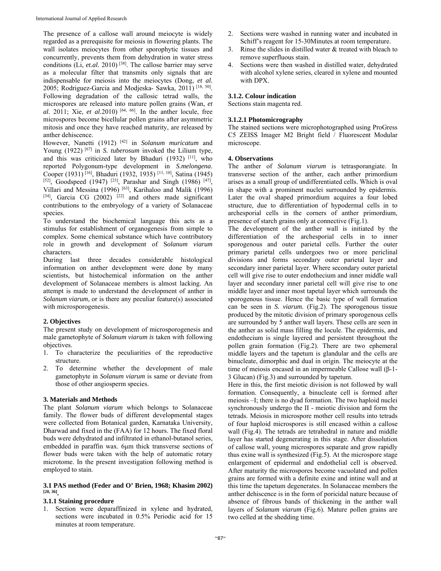The presence of a callose wall around meiocyte is widely regarded as a prerequisite for meiosis in flowering plants. The wall isolates meiocytes from other sporophytic tissues and concurrently, prevents them from dehydration in water stress conditions (Li, *et.al.* 2010) [38]. The callose barrier may serve as a molecular filter that transmits only signals that are indispensable for meiosis into the meiocytes (Dong, *et al.* 2005; Rodriguez-Garcia and Modjeska- Sawka, 2011) [18, 50]. Following degradation of the callosic tetrad walls, the microspores are released into mature pollen grains (Wan, *et al.* 2011; Xie, *et al.*2010) [64, 66]. In the anther locule, free microspores become bicellular pollen grains after asymmetric mitosis and once they have reached maturity, are released by anther dehiscence.

However, Nanetti (1912) [42] in *Solanum muricatum* and Young (1922)<sup>[67]</sup> in *S. tuberosum* invoked the Lilium type, and this was criticized later by Bhaduri (1932) [11], who reported Polygonum-type development in *S.melongena*. Cooper (1931) [16], Bhaduri (1932, 1935) [11, 10], Satina (1945) [52], Goodspeed (1947)<sup>[23]</sup>, Parashar and Singh (1986)<sup>[47]</sup>, Villari and Messina (1996) [63], Karihaloo and Malik (1996)  $[34]$ , Garcia CG (2002)  $[22]$  and others made significant contributions to the embryology of a variety of Solanaceae species.

To understand the biochemical language this acts as a stimulus for establishment of organogenesis from simple to complex. Some chemical substance which have contributory role in growth and development of S*olanum viarum*  characters.

During last three decades considerable histological information on anther development were done by many scientists, but histochemical information on the anther development of Solanaceae members is almost lacking. An attempt is made to understand the development of anther in *Solanum viarum*, or is there any peculiar feature(s) associated with microsporogenesis.

# **2. Objectives**

The present study on development of microsporogenesis and male gametophyte of *Solanum viarum is* taken with following objectives.

- 1. To characterize the peculiarities of the reproductive structure.
- 2. To determine whether the development of male gametophyte in *Solanum viarum* is same or deviate from those of other angiosperm species.

# **3. Materials and Methods**

The plant *Solanum viarum* which belongs to Solanaceae family. The flower buds of different developmental stages were collected from Botanical garden, Karnataka University, Dharwad and fixed in the (FAA) for 12 hours. The fixed floral buds were dehydrated and infiltrated in ethanol-butanol series, embedded in paraffin wax. 6μm thick transverse sections of flower buds were taken with the help of automatic rotary microtome. In the present investigation following method is employed to stain.

### **3.1 PAS method (Feder and O' Brien, 1968; Khasim 2002) [20, 36].**

# **3.1.1 Staining procedure**

1. Section were deparaffinized in xylene and hydrated, sections were incubated in 0.5% Periodic acid for 15 minutes at room temperature.

- 2. Sections were washed in running water and incubated in Schiff's reagent for 15-30Minutes at room temperature.
- 3. Rinse the slides in distilled water & treated with bleach to remove superfluous stain.
- Sections were then washed in distilled water, dehydrated with alcohol xylene series, cleared in xylene and mounted with DPX.

#### **3.1.2. Colour indication**

Sections stain magenta red.

#### **3.1.2.1 Photomicrography**

The stained sections were microphotographed using ProGress C5 ZEISS Imager M2 Bright field / Fluorescent Modular microscope.

# **4. Observations**

The anther of *Solanum viarum* is tetrasporangiate. In transverse section of the anther, each anther primordium arises as a small group of undifferentiated cells. Which is oval in shape with a prominent nuclei surrounded by epidermis. Later the oval shaped primordium acquires a four lobed structure, due to differentiation of hypodermal cells in to archesporial cells in the corners of anther primordium, presence of starch grains only at connective (Fig.1).

The development of the anther wall is initiated by the differentiation of the archesporial cells in to inner sporogenous and outer parietal cells. Further the outer primary parietal cells undergoes two or more periclinal divisions and forms secondary outer parietal layer and secondary inner parietal layer. Where secondary outer parietal cell will give rise to outer endothecium and inner middle wall layer and secondary inner parietal cell will give rise to one middle layer and inner most tapetal layer which surrounds the sporogenous tissue. Hence the basic type of wall formation can be seen in *S. viarum.* (Fig.2). The sporogenous tissue produced by the mitotic division of primary sporogenous cells are surrounded by 5 anther wall layers. These cells are seen in the anther as solid mass filling the locule. The epidermis, and endothecium is single layered and persistent throughout the pollen grain formation (Fig.2). There are two ephemeral middle layers and the tapetum is glandular and the cells are binucleate, dimorphic and dual in origin. The meiocyte at the time of meiosis encased in an impermeable Callose wall (β-1- 3 Glucan) (Fig.3) and surrounded by tapetum.

Here in this, the first meiotic division is not followed by wall formation. Consequently, a binucleate cell is formed after meiosis –I; there is no dyad formation. The two haploid nuclei synchronously undergo the II - meiotic division and form the tetrads. Meiosis in microspore mother cell results into tetrads of four haploid microspores is still encased within a callose wall (Fig.4). The tetrads are tetrahedral in nature and middle layer has started degenerating in this stage. After dissolution of callose wall, young microspores separate and grow rapidly thus exine wall is synthesized (Fig.5). At the microspore stage enlargement of epidermal and endothelial cell is observed. After maturity the microspores become vacuolated and pollen grains are formed with a definite exine and intine wall and at this time the tapetum degenerates. In Solanaceae members the anther dehiscence is in the form of poricidal nature because of absence of fibrous bands of thickening in the anther wall layers of *Solanum viarum* (Fig.6). Mature pollen grains are two celled at the shedding time.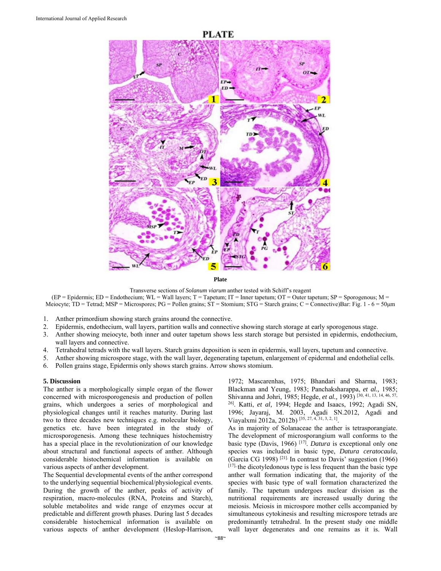

**Plate** 

Transverse sections of *Solanum viarum* anther tested with Schiff's reagent

(EP = Epidermis; ED = Endothecium; WL = Wall layers; T = Tapetum; IT = Inner tapetum; OT = Outer tapetum; SP = Sporogenous; M = Meiocyte; TD = Tetrad; MSP = Microspores; PG = Pollen grains; ST = Stomium; STG = Starch grains; C = Connective)Bar: Fig. 1 - 6 = 50µm

- 1. Anther primordium showing starch grains around the connective.
- 2. Epidermis, endothecium, wall layers, partition walls and connective showing starch storage at early sporogenous stage.
- 3. Anther showing meiocyte, both inner and outer tapetum shows less starch storage but persisted in epidermis, endothecium, wall layers and connective.
- 4. Tetrahedral tetrads with the wall layers. Starch grains deposition is seen in epidermis, wall layers, tapetum and connective.
- 5. Anther showing microspore stage, with the wall layer, degenerating tapetum, enlargement of epidermal and endothelial cells.
- 6. Pollen grains stage, Epidermis only shows starch grains. Arrow shows stomium.

# **5. Discussion**

The anther is a morphologically simple organ of the flower concerned with microsporogenesis and production of pollen grains, which undergoes a series of morphological and physiological changes until it reaches maturity. During last two to three decades new techniques e.g. molecular biology, genetics etc. have been integrated in the study of microsporogenesis. Among these techniques histochemistry has a special place in the revolutionization of our knowledge about structural and functional aspects of anther. Although considerable histochemical information is available on various aspects of anther development.

The Sequential developmental events of the anther correspond to the underlying sequential biochemical/physiological events. During the growth of the anther, peaks of activity of respiration, macro-molecules (RNA, Proteins and Starch), soluble metabolites and wide range of enzymes occur at predictable and different growth phases. During last 5 decades considerable histochemical information is available on various aspects of anther development (Heslop-Harrison,

1972; Mascarenhas, 1975; Bhandari and Sharma, 1983; Blackman and Yeung, 1983; Panchaksharappa, *et al.,* 1985; Shivanna and Johri, 1985; Hegde, *et al.,* 1993) [30, 41, 13, 14, 46, 57, 26]. Katti, *et al,* 1994; Hegde and Isaacs, 1992; Agadi SN, 1996; Jayaraj, M. 2003, Agadi SN.2012, Agadi and Viayalxmi 2012a, 2012b) [35, 27, 4, 31, 3, 2, 1].

As in majority of Solanaceae the anther is tetrasporangiate. The development of microsporangium wall conforms to the basic type (Davis, 1966) [17]. *Datura* is exceptional only one species was included in basic type, *Datura ceratocaula*, (Garcia CG 1998) <sup>[21].</sup> In contrast to Davis' suggestion (1966) [17], the dicotyledonous type is less frequent than the basic type anther wall formation indicating that, the majority of the species with basic type of wall formation characterized the family. The tapetum undergoes nuclear division as the nutritional requirements are increased usually during the meiosis. Meiosis in microspore mother cells accompanied by simultaneous cytokinesis and resulting microspore tetrads are predominantly tetrahedral. In the present study one middle wall layer degenerates and one remains as it is. Wall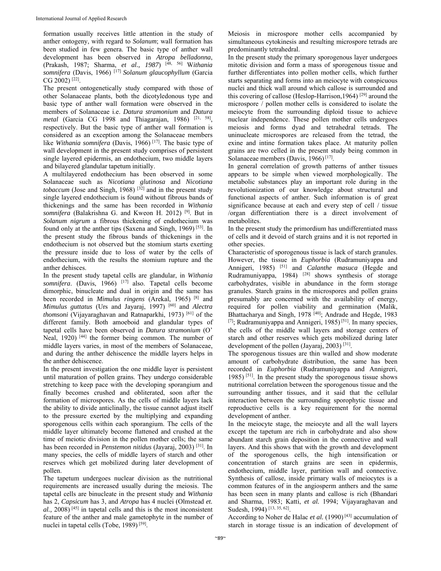formation usually receives little attention in the study of anther ontogeny, with regard to *Solanum*; wall formation has been studied in few genera. The basic type of anther wall development has been observed in *Atropa belladonna*, (Prakash, 1987; Sharma, *et al., 1987*) [48, 56] W*ithania somnifera* (Davis, 1966) [17] *Solanum glaucophyllum* (Garcia  $CG 2002$ <sup>[22]</sup>.

The present ontogenetically study compared with those of other Solanaceae plants, both the dicotyledonous type and basic type of anther wall formation were observed in the members of Solanaceae i.e. *Datura stramonium* and *Datura*  metal (Garcia CG 1998 and Thiagarajan, 1986) <sup>[21, 58]</sup>, respectively. But the basic type of anther wall formation is considered as an exception among the Solanaceae members like *Withania somnifera* (Davis, 1966)<sup>[17]</sup>. The basic type of wall development in the present study comprises of persistent single layered epidermis, an endothecium, two middle layers and bilayered glandular tapetum initially.

A multilayered endothecium has been observed in some Solanaceae such as *Nicotiana glutinosa* and *Nicotiana tobaccum* (Jose and Singh, 1968)  $[32]$  and in the present study single layered endothecium is found without fibrous bands of thickenings and the same has been recorded in *Withania somnifera* (Balakrishna G. and Kweon H. 2012) [9]. But in *Solanum nigrum* a fibrous thickening of endothecium was found only at the anther tips (Saxena and Singh, 1969) [53]. In the present study the fibrous bands of thickenings in the endothecium is not observed but the stomium starts exerting the pressure inside due to loss of water by the cells of endothecium, with the results the stomium rupture and the anther dehisces.

In the present study tapetal cells are glandular, in *Withania somnifera*. (Davis, 1966) <sup>[17]</sup> also. Tapetal cells become dimorphic, binucleate and dual in origin and the same has been recorded in *Mimulus ringens* (Arekal, 1965) [8] and *Mimulus guttatus* (Urs and Jayaraj, 1997) [60] and *Alectra thomsoni* (Vijayaraghavan and Ratnaparkhi, 1973) [61] of the different family. Both amoeboid and glandular types of tapetal cells have been observed in *Datura stramonium* (O' Neal, 1920)<sup>[44]</sup> the former being common. The number of middle layers varies, in most of the members of Solanaceae, and during the anther dehiscence the middle layers helps in the anther dehiscence.

In the present investigation the one middle layer is persistent until maturation of pollen grains. They undergo considerable stretching to keep pace with the developing sporangium and finally becomes crushed and obliterated, soon after the formation of microspores. As the cells of middle layers lack the ability to divide anticlinally, the tissue cannot adjust itself to the pressure exerted by the multiplying and expanding sporogenous cells within each sporangium. The cells of the middle layer ultimately become flattened and crushed at the time of meiotic division in the pollen mother cells; the same has been recorded in *Penstemon nitidus* (Jayaraj, 2003) [31]. In many species, the cells of middle layers of starch and other reserves which get mobilized during later development of pollen.

The tapetum undergoes nuclear division as the nutritional requirements are increased usually during the meiosis. The tapetal cells are binucleate in the present study and *Withania*  has 2, *Capsicum* has 3, and *Atropa* has 4 nuclei (Olmstead *et.*   $al$ ,  $2008$ <sup> $[45]$ </sup> in tapetal cells and this is the most inconsistent feature of the anther and male gametophyte in the number of nuclei in tapetal cells (Tobe, 1989)<sup>[59]</sup>.

Meiosis in microspore mother cells accompanied by simultaneous cytokinesis and resulting microspore tetrads are predominantly tetrahedral.

In the present study the primary sporogenous layer undergoes mitotic division and form a mass of sporogenous tissue and further differentiates into pollen mother cells, which further starts separating and forms into an meiocyte with conspicuous nuclei and thick wall around which callose is surrounded and this covering of callose (Heslop-Harrison, 1964)  $[29]$  around the microspore / pollen mother cells is considered to isolate the meiocyte from the surrounding diploid tissue to achieve nuclear independence. These pollen mother cells undergoes meiosis and forms dyad and tetrahedral tetrads. The uninucleate microspores are released from the tetrad, the exine and intine formation takes place. At maturity pollen grains are two celled in the present study being common in Solanaceae members (Davis, 1966)<sup>[17]</sup>.

In general correlation of growth patterns of anther tissues appears to be simple when viewed morphologically. The metabolic substances play an important role during in the revolutionization of our knowledge about structural and functional aspects of anther. Such information is of great significance because at each and every step of cell / tissue /organ differentiation there is a direct involvement of metabolites.

In the present study the primordium has undifferentiated mass of cells and it devoid of starch grains and it is not reported in other species.

Characteristic of sporogenous tissue is lack of starch granules. However, the tissue in *Euphorbia* (Rudramuniyappa and Annigeri, 1985) [51] and *Calanthe masuca* (Hegde and Rudramuniyappa, 1984)  $[28]$  shows synthesis of storage carbohydrates, visible in abundance in the form storage granules. Starch grains in the microspores and pollen grains presumably are concerned with the availability of energy, required for pollen viability and germination (Malik, Bhattacharya and Singh, 1978 <sup>[40]</sup>; Andrade and Hegde, 1983 [7]; Rudramuniyappa and Annigeri, 1985)<sup>[51]</sup>. In many species, the cells of the middle wall layers and storage centers of starch and other reserves which gets mobilized during later development of the pollen (Jayaraj, 2003) [31].

The sporogenous tissues are thin walled and show moderate amount of carbohydrate distribution, the same has been recorded in *Euphorbia* (Rudramuniyappa and Annigreri, 1985) [51]. In the present study the sporogenous tissue shows nutritional correlation between the sporogenous tissue and the surrounding anther tissues, and it said that the cellular interaction between the surrounding sporophytic tissue and reproductive cells is a key requirement for the normal development of anther.

In the meiocyte stage, the meiocyte and all the wall layers except the tapetum are rich in carbohydrate and also show abundant starch grain deposition in the connective and wall layers. And this shows that with the growth and development of the sporogenous cells, the high intensification or concentration of starch grains are seen in epidermis, endothecium, middle layer, partition wall and connective. Synthesis of callose, inside primary walls of meiocytes is a common features of in the angiosperm anthers and the same has been seen in many plants and callose is rich (Bhandari and Sharma, 1983; Katti, *et al.* 1994; Vijayaraghavan and Sudesh, 1994)<sup>[13, 35, 62]</sup>.

According to Noher de Halac *et al.* (1990)<sup>[43]</sup> accumulation of starch in storage tissue is an indication of development of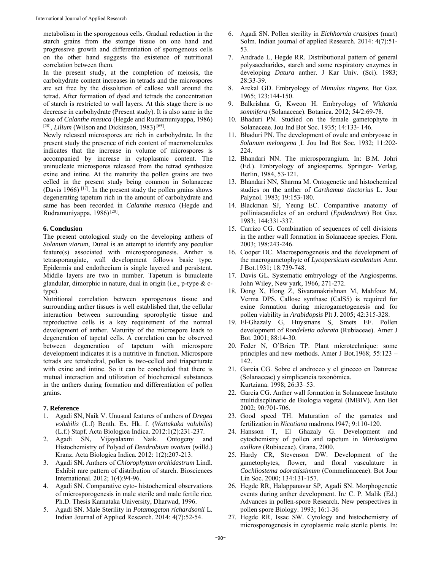metabolism in the sporogenous cells. Gradual reduction in the starch grains from the storage tissue on one hand and progressive growth and differentiation of sporogenous cells on the other hand suggests the existence of nutritional correlation between them.

In the present study, at the completion of meiosis, the carbohydrate content increases in tetrads and the microspores are set free by the dissolution of callose wall around the tetrad. After formation of dyad and tetrads the concentration of starch is restricted to wall layers. At this stage there is no decrease in carbohydrate (Present study). It is also same in the case of *Calanthe masuca* (Hegde and Rudramuniyappa, 1986) [28], *Lilium* (Wilson and Dickinson, 1983) [65].

Newly released microspores are rich in carbohydrate. In the present study the presence of rich content of macromolecules indicates that the increase in volume of microspores is accompanied by increase in cytoplasmic content. The uninucleate microspores released from the tetrad synthesize exine and intine. At the maturity the pollen grains are two celled in the present study being common in Solanaceae (Davis 1966)  $[1^{\overline{7}}]$ . In the present study the pollen grains shows degenerating tapetum rich in the amount of carbohydrate and same has been recorded in *Calanthe masuca* (Hegde and Rudramuniyappa, 1986) [28].

# **6. Conclusion**

The present ontological study on the developing anthers of *Solanum viarum*, Dunal is an attempt to identify any peculiar feature(s) associated with microsporogenesis. Anther is tetrasporangiate, wall development follows basic type. Epidermis and endothecium is single layered and persistent. Middle layers are two in number. Tapetum is binucleate glandular, dimorphic in nature, dual in origin (i.e., p-type & ctype).

Nutritional correlation between sporogenous tissue and surrounding anther tissues is well established that, the cellular interaction between surrounding sporophytic tissue and reproductive cells is a key requirement of the normal development of anther. Maturity of the microspore leads to degeneration of tapetal cells. A correlation can be observed between degeneration of tapetum with microspore development indicates it is a nutritive in function. Microspore tetrads are tetrahedral, pollen is two-celled and triaperturate with exine and intine. So it can be concluded that there is mutual interaction and utilization of biochemical substances in the anthers during formation and differentiation of pollen grains.

# **7. Reference**

- 1. Agadi SN, Naik V. Unusual features of anthers of *Dregea volubilis* (L.f) Benth. Ex. Hk. f. (*Wattakaka volubilis*) (L.f.) Stapf. Acta Biologica Indica. 2012:1(2):231-237.
- 2. Agadi SN, Vijayalaxmi Naik. Ontogeny and Histochemistry of Polyad of *Dendrobium ovatum* (willd.) Kranz. Acta Biologica Indica. 2012: 1(2):207-213.
- 3. Agadi SN**.** Anthers of *Chlorophytum orchidastrum* Lindl. Exhibit rare pattern of distribution of starch. Biosciences International. 2012; 1(4):94-96.
- 4. Agadi SN. Comparative cyto- histochemical observations of microsporogenesis in male sterile and male fertile rice. Ph.D. Thesis Karnataka University, Dharwad, 1996.
- 5. Agadi SN. Male Sterility in *Potamogeton richardsonii* L. Indian Journal of Applied Research. 2014: 4(7):52-54.
- 6. Agadi SN. Pollen sterility in *Eichhornia crassipes* (mart) Solm. Indian journal of applied Research. 2014: 4(7):51- 53.
- 7. Andrade L, Hegde RR. Distributional pattern of general polysaccharides, starch and some respiratory enzymes in developing *Datura* anther. J Kar Univ. (Sci). 1983; 28:33-39.
- 8. Arekal GD. Embryology of *Mimulus ringens*. Bot Gaz. 1965; 123:144-150.
- 9. Balkrishna G, Kweon H. Embryology of *Withania somnifera* (Solanaceae). Botanica. 2012; 54/2:69-78.
- 10. Bhaduri PN. Studied on the female gametophyte in Solanaceae. Jou Ind Bot Soc. 1935; 14:133- 146.
- 11. Bhaduri PN. The development of ovule and embryosac in *Solanum melongena .*L Jou Ind Bot Soc. 1932; 11:202- 224.
- 12. Bhandari NN. The microsporangium. In: B.M. Johri (Ed.). Embryology of angiosperms. Springer- Verlag, Berlin, 1984, 53-121.
- 13. Bhandari NN, Sharma M. Ontogenetic and histochemical studies on the anther of *Carthamus tinctorius* L. Jour Palynol. 1983; 19:153-180.
- 14. Blackman SJ, Yeung EC. Comparative anatomy of polliniacaudicles of an orchard (*Epidendrum*) Bot Gaz. 1983; 144:331-337.
- 15. Carrizo CG. Combination of sequences of cell divisions in the anther wall formation in Solanaceae species. Flora. 2003; 198:243-246.
- 16. Cooper DC. Macrosporogenesis and the development of the macrogametophyte of *Lycopersicum esculentum* Amr. J Bot.1931; 18:739-748.
- 17. Davis GL. Systematic embryology of the Angiosperms. John Wiley, New yark, 1966, 271-272.
- 18. Dong X, Hong Z, Sivaramakrishnan M, Mahfouz M, Verma DPS. Callose synthase (CalS5) is required for exine formation during microgametogenesis and for pollen viability in *Arabidopsis* Plt J. 2005; 42:315-328.
- 19. El-Ghazaly G, Huysmans S, Smets EF. Pollen development of *Rondeletia odorata* (Rubiaceae). Amer J Bot. 2001; 88:14-30.
- 20. Feder N, O'Brien TP. Plant microtechnique: some principles and new methods. Amer J Bot.1968; 55:123 – 142.
- 21. Garcia CG. Sobre el androceo y el gineceo en Datureae (Solanaceae) y simplicancia taxonómica. Kurtziana. 1998; 26:33–53.
- 22. Garcia CG. Anther wall formation in Solanaceae Instituto multidiscplinario de Biologia vegetal (IMBIV). Ann Bot 2002; 90:701-706.
- 23. Good speed TH. Maturation of the gamates and fertilization in *Nicotiana* madrono*.*1947; 9:110-120.
- 24. Hansson T, El Ghazaly G. Development and cytochemistry of pollen and tapetum in *Mitriostigma axillare* (Rubiaceae). Grana, 2000.
- 25. Hardy CR, Stevenson DW. Development of the gametophytes, flower, and floral vasculature in *Cochliostema odoratissimum* (Commelinaceae). Bot Jour Lin Soc. 2000; 134:131-157.
- 26. Hegde RR, Halappanavar SP, Agadi SN. Morphogenetic events during anther development. In*:* C. P. Malik (Ed.) Advances in pollen-spore Research. New perspectives in pollen spore Biology. 1993; 16:1-36
- 27. Hegde RR, Issac SW. Cytology and histochemistry of microsporogenesis in cytoplasmic male sterile plants. In: